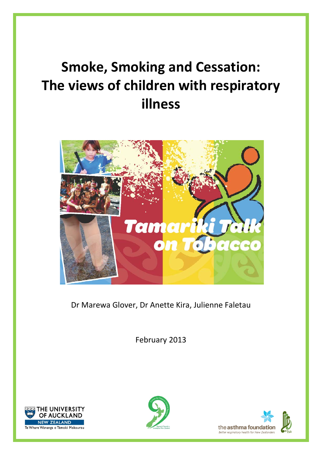# **Smoke, Smoking and Cessation: The views of children with respiratory illness**



Dr Marewa Glover, Dr Anette Kira, Julienne Faletau

February 2013





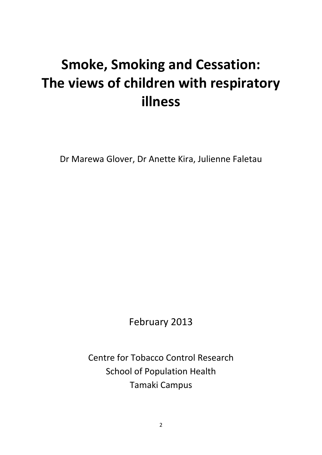## **Smoke, Smoking and Cessation: The views of children with respiratory illness**

Dr Marewa Glover, Dr Anette Kira, Julienne Faletau

February 2013

Centre for Tobacco Control Research School of Population Health Tamaki Campus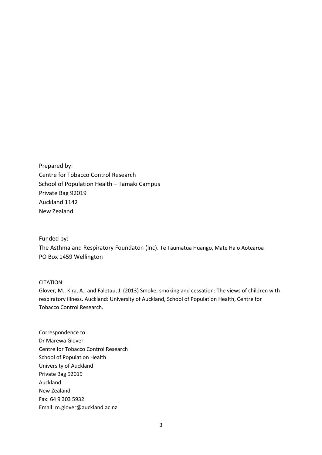Prepared by: Centre for Tobacco Control Research School of Population Health – Tamaki Campus Private Bag 92019 Auckland 1142 New Zealand

#### Funded by:

The Asthma and Respiratory Foundaton (Inc). Te Taumatua Huangō, Mate Hā o Aotearoa PO Box 1459 Wellington

#### CITATION:

Glover, M., Kira, A., and Faletau, J. (2013) Smoke, smoking and cessation: The views of children with respiratory illness. Auckland: University of Auckland, School of Population Health, Centre for Tobacco Control Research.

Correspondence to: Dr Marewa Glover Centre for Tobacco Control Research School of Population Health University of Auckland Private Bag 92019 Auckland New Zealand Fax: 64 9 303 5932 Email: m.glover@auckland.ac.nz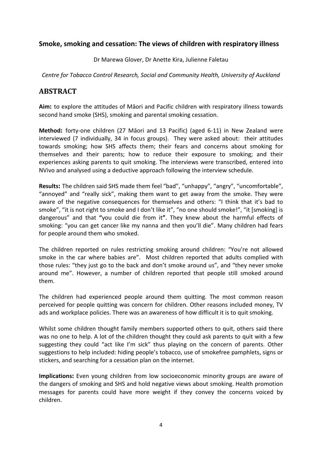## **Smoke, smoking and cessation: The views of children with respiratory illness**

Dr Marewa Glover, Dr Anette Kira, Julienne Faletau

*Centre for Tobacco Control Research, Social and Community Health, University of Auckland*

## **ABSTRACT**

**Aim:** to explore the attitudes of Māori and Pacific children with respiratory illness towards second hand smoke (SHS), smoking and parental smoking cessation.

**Method:** forty-one children (27 Māori and 13 Pacific) (aged 6-11) in New Zealand were interviewed (7 individually, 34 in focus groups). They were asked about: their attitudes towards smoking; how SHS affects them; their fears and concerns about smoking for themselves and their parents; how to reduce their exposure to smoking; and their experiences asking parents to quit smoking. The interviews were transcribed, entered into NVivo and analysed using a deductive approach following the interview schedule.

**Results:** The children said SHS made them feel "bad", "unhappy", "angry", "uncomfortable", "annoyed" and "really sick", making them want to get away from the smoke. They were aware of the negative consequences for themselves and others: "I think that it's bad to smoke", "it is not right to smoke and I don't like it", "no one should smoke!", "it [smoking] is dangerous" and that **"**you could die from it**"**. They knew about the harmful effects of smoking: "you can get cancer like my nanna and then you'll die". Many children had fears for people around them who smoked.

The children reported on rules restricting smoking around children: "You're not allowed smoke in the car where babies are". Most children reported that adults complied with those rules: "they just go to the back and don't smoke around us", and "they never smoke around me". However, a number of children reported that people still smoked around them.

The children had experienced people around them quitting. The most common reason perceived for people quitting was concern for children. Other reasons included money, TV ads and workplace policies. There was an awareness of how difficult it is to quit smoking.

Whilst some children thought family members supported others to quit, others said there was no one to help. A lot of the children thought they could ask parents to quit with a few suggesting they could "act like I'm sick" thus playing on the concern of parents. Other suggestions to help included: hiding people's tobacco, use of smokefree pamphlets, signs or stickers, and searching for a cessation plan on the internet.

**Implications:** Even young children from low socioeconomic minority groups are aware of the dangers of smoking and SHS and hold negative views about smoking. Health promotion messages for parents could have more weight if they convey the concerns voiced by children.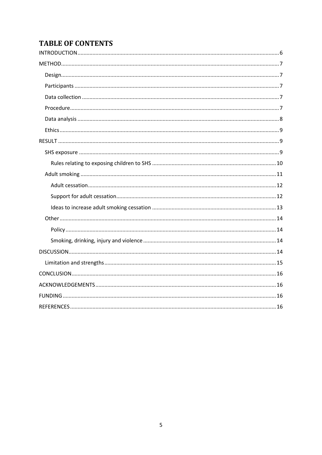## **TABLE OF CONTENTS**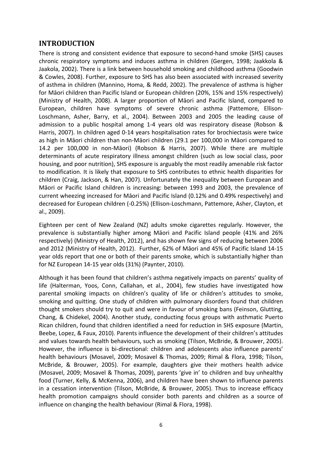## <span id="page-5-0"></span>**INTRODUCTION**

There is strong and consistent evidence that exposure to second-hand smoke (SHS) causes chronic respiratory symptoms and induces asthma in children [\(Gergen, 1998;](#page-15-4) [Jaakkola &](#page-16-0)  [Jaakola, 2002\)](#page-16-0). There is a link between household smoking and childhood asthma [\(Goodwin](#page-16-1)  [& Cowles, 2008\)](#page-16-1). Further, exposure to SHS has also been associated with increased severity of asthma in children [\(Mannino, Homa, & Redd, 2002\)](#page-16-2). The prevalence of asthma is higher for Māori children than Pacific Island or European children (20%, 15% and 15% respectively) [\(Ministry of Health, 2008\)](#page-16-3). A larger proportion of Māori and Pacific Island, compared to European, children have symptoms of severe chronic asthma [\(Pattemore, Ellison-](#page-16-4)[Loschmann, Asher, Barry, et al., 2004\)](#page-16-4). Between 2003 and 2005 the leading cause of admission to a public hospital among 1-4 years old was respiratory disease [\(Robson &](#page-16-5)  [Harris, 2007\)](#page-16-5). In children aged 0-14 years hospitalisation rates for brochiectasis were twice as high in Māori children than non-Māori children (29.1 per 100,000 in Māori compared to 14.2 per 100,000 in non-Māori) [\(Robson & Harris, 2007\)](#page-16-5). While there are multiple determinants of acute respiratory illness amongst children (such as low social class, poor housing, and poor nutrition), SHS exposure is arguably the most readily amenable risk factor to modification. It is likely that exposure to SHS contributes to ethnic health disparities for children [\(Craig, Jackson, & Han, 2007\)](#page-15-5). Unfortunately the inequality between European and Māori or Pacific Island children is increasing: between 1993 and 2003, the prevalence of current wheezing increased for Māori and Pacific Island (0.12% and 0.49% respectively) and decreased for European children (-0.25%) [\(Ellison-Loschmann, Pattemore, Asher, Clayton, et](#page-15-6)  [al., 2009\)](#page-15-6).

Eighteen per cent of New Zealand (NZ) adults smoke cigarettes regularly. However, the prevalence is substantially higher among Māori and Pacific Island people (41% and 26% respectively) [\(Ministry of Health, 2012\)](#page-16-6), and has shown few signs of reducing between 2006 and 2012 [\(Ministry of Health, 2012\)](#page-16-6). Further, 62% of Māori and 45% of Pacific Island 14-15 year olds report that one or both of their parents smoke, which is substantially higher than for NZ European 14-15 year olds (31%) [\(Paynter, 2010\)](#page-16-7).

Although it has been found that children's asthma negatively impacts on parents' quality of life [\(Halterman, Yoos, Conn, Callahan, et al., 2004\)](#page-16-8), few studies have investigated how parental smoking impacts on children's quality of life or children's attitudes to smoke, smoking and quitting. One study of children with pulmonary disorders found that children thought smokers should try to quit and were in favour of smoking bans [\(Feinson, Glutting,](#page-15-7)  [Chang, & Chidekel, 2004\)](#page-15-7). Another study, conducting focus groups with asthmatic Puerto Rican children, found that children identified a need for reduction in SHS exposure [\(Martin,](#page-16-9)  [Beebe, Lopez, & Faux, 2010\)](#page-16-9). Parents influence the development of their children's attitudes and values towards health behaviours, such as smoking [\(Tilson, McBride, & Brouwer, 2005\)](#page-17-0). However, the influence is bi-directional: children and adolescents also influence parents' health behaviours [\(Mosavel, 2009;](#page-16-10) [Mosavel & Thomas, 2009;](#page-16-11) [Rimal & Flora, 1998;](#page-16-12) [Tilson,](#page-17-0)  [McBride, & Brouwer, 2005\)](#page-17-0). For example, daughters give their mothers health advice [\(Mosavel, 2009;](#page-16-10) [Mosavel & Thomas, 2009\)](#page-16-11), parents 'give in' to children and buy unhealthy food [\(Turner, Kelly, & McKenna, 2006\)](#page-17-1), and children have been shown to influence parents in a cessation intervention [\(Tilson, McBride, & Brouwer, 2005\)](#page-17-0). Thus to increase efficacy health promotion campaigns should consider both parents and children as a source of influence on changing the health behaviour [\(Rimal & Flora, 1998\)](#page-16-12).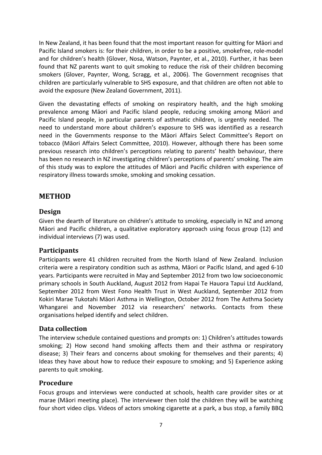In New Zealand, it has been found that the most important reason for quitting for Māori and Pacific Island smokers is: for their children, in order to be a positive, smokefree, role-model and for children's health [\(Glover, Nosa, Watson, Paynter, et al., 2010\)](#page-16-13). Further, it has been found that NZ parents want to quit smoking to reduce the risk of their children becoming smokers [\(Glover, Paynter, Wong, Scragg, et al., 2006\)](#page-16-14). The Government recognises that children are particularly vulnerable to SHS exposure, and that children are often not able to avoid the exposure [\(New Zealand Government, 2011\)](#page-16-15).

Given the devastating effects of smoking on respiratory health, and the high smoking prevalence among Māori and Pacific Island people, reducing smoking among Māori and Pacific Island people, in particular parents of asthmatic children, is urgently needed. The need to understand more about children's exposure to SHS was identified as a research need in the Governments response to the Māori Affairs Select Committee's Report on tobacco ([Māori Affairs Select Committee, 2010](#page-16-16)). However, although there has been some previous research into children's perceptions relating to parents' health behaviour, there has been no research in NZ investigating children's perceptions of parents' smoking. The aim of this study was to explore the attitudes of Māori and Pacific children with experience of respiratory illness towards smoke, smoking and smoking cessation.

## <span id="page-6-0"></span>**METHOD**

## <span id="page-6-1"></span>**Design**

Given the dearth of literature on children's attitude to smoking, especially in NZ and among Māori and Pacific children, a qualitative exploratory approach using focus group (12) and individual interviews (7) was used.

## <span id="page-6-2"></span>**Participants**

Participants were 41 children recruited from the North Island of New Zealand. Inclusion criteria were a respiratory condition such as asthma, Māori or Pacific Island, and aged 6-10 years. Participants were recruited in May and September 2012 from two low socioeconomic primary schools in South Auckland, August 2012 from Hapai Te Hauora Tapui Ltd Auckland, September 2012 from West Fono Health Trust in West Auckland, September 2012 from Kokiri Marae Tukotahi Māori Asthma in Wellington, October 2012 from The Asthma Society Whangarei and November 2012 via researchers' networks. Contacts from these organisations helped identify and select children.

## <span id="page-6-3"></span>**Data collection**

The interview schedule contained questions and prompts on: 1) Children's attitudes towards smoking; 2) How second hand smoking affects them and their asthma or respiratory disease; 3) Their fears and concerns about smoking for themselves and their parents; 4) Ideas they have about how to reduce their exposure to smoking; and 5) Experience asking parents to quit smoking.

## <span id="page-6-4"></span>**Procedure**

Focus groups and interviews were conducted at schools, health care provider sites or at marae (Māori meeting place). The interviewer then told the children they will be watching four short video clips. Videos of actors smoking cigarette at a park, a bus stop, a family BBQ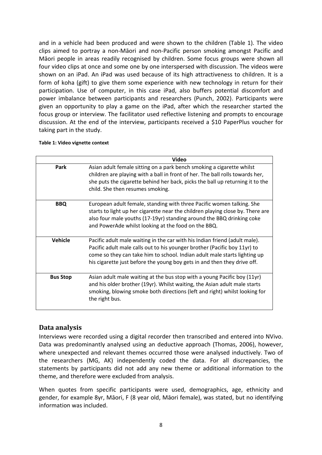and in a vehicle had been produced and were shown to the children [\(Table 1\)](#page-7-1). The video clips aimed to portray a non-Māori and non-Pacific person smoking amongst Pacific and Māori people in areas readily recognised by children. Some focus groups were shown all four video clips at once and some one by one interspersed with discussion. The videos were shown on an iPad. An iPad was used because of its high attractiveness to children. It is a form of koha (gift) to give them some experience with new technology in return for their participation. Use of computer, in this case iPad, also buffers potential discomfort and power imbalance between participants and researchers [\(Punch, 2002\)](#page-16-17). Participants were given an opportunity to play a game on the iPad, after which the researcher started the focus group or interview. The facilitator used reflective listening and prompts to encourage discussion. At the end of the interview, participants received a \$10 PaperPlus voucher for taking part in the study.

#### <span id="page-7-1"></span>**Table 1: Video vignette context**

|                 | <b>Video</b>                                                                                                                                                                                                                                                                                                     |
|-----------------|------------------------------------------------------------------------------------------------------------------------------------------------------------------------------------------------------------------------------------------------------------------------------------------------------------------|
| <b>Park</b>     | Asian adult female sitting on a park bench smoking a cigarette whilst<br>children are playing with a ball in front of her. The ball rolls towards her,<br>she puts the cigarette behind her back, picks the ball up returning it to the<br>child. She then resumes smoking.                                      |
| <b>BBQ</b>      | European adult female, standing with three Pacific women talking. She<br>starts to light up her cigarette near the children playing close by. There are<br>also four male youths (17-19yr) standing around the BBQ drinking coke<br>and PowerAde whilst looking at the food on the BBQ.                          |
| <b>Vehicle</b>  | Pacific adult male waiting in the car with his Indian friend (adult male).<br>Pacific adult male calls out to his younger brother (Pacific boy 11yr) to<br>come so they can take him to school. Indian adult male starts lighting up<br>his cigarette just before the young boy gets in and then they drive off. |
| <b>Bus Stop</b> | Asian adult male waiting at the bus stop with a young Pacific boy (11yr)<br>and his older brother (19yr). Whilst waiting, the Asian adult male starts<br>smoking, blowing smoke both directions (left and right) whilst looking for<br>the right bus.                                                            |

## <span id="page-7-0"></span>**Data analysis**

Interviews were recorded using a digital recorder then transcribed and entered into NVivo. Data was predominantly analysed using an deductive approach [\(Thomas, 2006\)](#page-17-2), however, where unexpected and relevant themes occurred those were analysed inductively. Two of the researchers (MG, AK) independently coded the data. For all discrepancies, the statements by participants did not add any new theme or additional information to the theme, and therefore were excluded from analysis.

When quotes from specific participants were used, demographics, age, ethnicity and gender, for example 8yr, Māori, F (8 year old, Māori female), was stated, but no identifying information was included.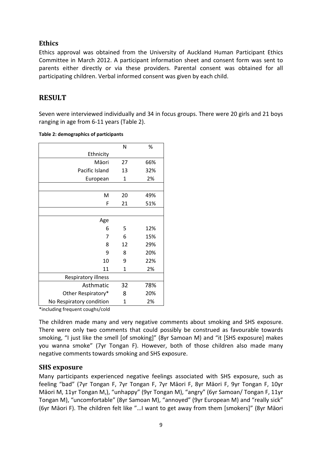## <span id="page-8-0"></span>**Ethics**

Ethics approval was obtained from the University of Auckland Human Participant Ethics Committee in March 2012. A participant information sheet and consent form was sent to parents either directly or via these providers. Parental consent was obtained for all participating children. Verbal informed consent was given by each child.

## <span id="page-8-1"></span>**RESULT**

Seven were interviewed individually and 34 in focus groups. There were 20 girls and 21 boys ranging in age from 6-11 years (Table 2).

|                          | N  | %   |
|--------------------------|----|-----|
| Ethnicity                |    |     |
| Māori                    | 27 | 66% |
| Pacific Island           | 13 | 32% |
| European                 | 1  | 2%  |
|                          |    |     |
| M                        | 20 | 49% |
| F                        | 21 | 51% |
|                          |    |     |
| Age                      |    |     |
| 6                        | 5  | 12% |
| 7                        | 6  | 15% |
| 8                        | 12 | 29% |
| 9                        | 8  | 20% |
| 10                       | 9  | 22% |
| 11                       | 1  | 2%  |
| Respiratory illness      |    |     |
| Asthmatic                | 32 | 78% |
| Other Respiratory*       | 8  | 20% |
| No Respiratory condition | 1  | 2%  |

#### **Table 2: demographics of participants**

\*including frequent coughs/cold

The children made many and very negative comments about smoking and SHS exposure. There were only two comments that could possibly be construed as favourable towards smoking, "I just like the smell [of smoking]" (8yr Samoan M) and "it [SHS exposure] makes you wanna smoke" (7yr Tongan F). However, both of those children also made many negative comments towards smoking and SHS exposure.

## <span id="page-8-2"></span>**SHS exposure**

Many participants experienced negative feelings associated with SHS exposure, such as feeling "bad" (7yr Tongan F, 7yr Tongan F, 7yr Māori F, 8yr Māori F, 9yr Tongan F, 10yr Māori M, 11yr Tongan M,), "unhappy" (9yr Tongan M), "angry" (6yr Samoan/ Tongan F, 11yr Tongan M), "uncomfortable" (8yr Samoan M), "annoyed" (9yr European M) and "really sick" (6yr Māori F). The children felt like "…I want to get away from them [smokers]" (8yr Māori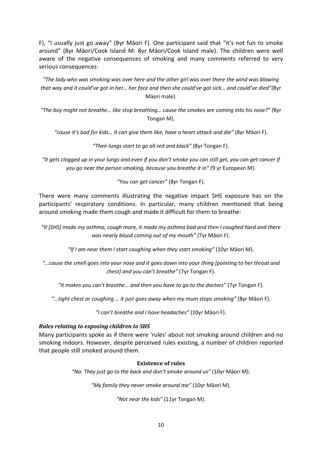F), "I usually just go away" (8yr Māori F). One participant said that "it's not fun to smoke around" (8yr Māori/Cook Island M: 8yr Māori/Cook Island male). The children were well aware of the negative consequences of smoking and many comments referred to very serious consequences:

*"The lady who was smoking was over here and the other girl was over there the wind was blowing that way and it could've got in her… her face and then she could've got sick… and could've died"(*8yr Māori male).

*"The boy might not breathe… like stop breathing… cause the smokes are coming into his nose?" (*8yr Tongan M).

*"cause it's bad for kids… It can give them like, have a heart attack and die"* (8yr Māori F).

*"Their lungs start to go all red and black"* (8yr Tongan F).

*"It gets clogged up in your lungs and even if you don't smoke you can still get, you can get cancer if you go near the person smoking, because you breathe it in" (*9 yr European M).

*"You can get cancer"* (8yr Tongan F).

There were many comments illustrating the negative impact SHS exposure has on the participants' respiratory conditions. In particular, many children mentioned that being around smoking made them cough and made it difficult for them to breathe:

*"It [SHS] made my asthma, cough more, it made my asthma bad and then I coughed hard and there was nearly blood coming out of my mouth" (*7yr Māori F).

*"If I am near them I start coughing when they start smoking"* (10yr Māori M).

*"...cause the smell goes into your nose and it goes down into your thing [pointing to her throat and chest] and you can't breathe"* (7yr Tongan F).

*"It makes you can't breathe… and then you have to go to the doctors"* (7yr Tongan F).

*"...tight chest or coughing … it just goes away when my mum stops smoking"* (8yr Māori F).

*"I can't breathe and I have headaches"* (10yr Māori F).

#### <span id="page-9-0"></span>*Rules relating to exposing children to SHS*

Many participants spoke as if there were 'rules' about not smoking around children and no smoking indoors. However, despite perceived rules existing, a number of children reported that people still smoked around them.

#### **Existence of rules**

*"No. They just go to the back and don't smoke around us"* (10yr Māori M).

*"My family they never smoke around me"* (10yr Māori M).

*"Not near the kids"* (11yr Tongan M).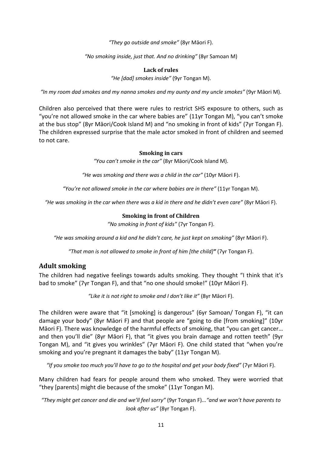*"They go outside and smoke"* (8yr Māori F).

*"No smoking inside, just that. And no drinking"* (8yr Samoan M)

#### **Lack of rules**

*"He [dad] smokes inside"* (9yr Tongan M).

*"In my room dad smokes and my nanna smokes and my aunty and my uncle smokes"* (9yr Māori M).

Children also perceived that there were rules to restrict SHS exposure to others, such as "you're not allowed smoke in the car where babies are" (11yr Tongan M), "you can't smoke at the bus stop" (8yr Māori/Cook Island M) and "no smoking in front of kids" (7yr Tongan F). The children expressed surprise that the male actor smoked in front of children and seemed to not care.

#### **Smoking in cars**

*"You can't smoke in the car"* (8yr Māori/Cook Island M).

*"He was smoking and there was a child in the car"* (10yr Māori F).

*"You're not allowed smoke in the car where babies are in there"* (11yr Tongan M).

*"He was smoking in the car when there was a kid in there and he didn't even care"* (8yr Māori F).

#### **Smoking in front of Children**

*"No smoking in front of kids"* (7yr Tongan F).

*"He was smoking around a kid and he didn't care, he just kept on smoking"* (8yr Māori F).

*"That man is not allowed to smoke in front of him [the child]"* (7yr Tongan F).

#### <span id="page-10-0"></span>**Adult smoking**

The children had negative feelings towards adults smoking. They thought "I think that it's bad to smoke" (7yr Tongan F), and that "no one should smoke!" (10yr Māori F).

*"Like it is not right to smoke and I don't like it"* (8yr Māori F).

The children were aware that "it [smoking] is dangerous" (6yr Samoan/ Tongan F), "it can damage your body" (8yr Māori F) and that people are "going to die [from smoking]" (10yr Māori F). There was knowledge of the harmful effects of smoking, that "you can get cancer… and then you'll die" (8yr Māori F), that "it gives you brain damage and rotten teeth" (9yr Tongan M), and "it gives you wrinkles" (7yr Māori F). One child stated that "when you're smoking and you're pregnant it damages the baby" (11yr Tongan M).

*"If you smoke too much you'll have to go to the hospital and get your body fixed"* (7yr Māori F).

Many children had fears for people around them who smoked. They were worried that "they [parents] might die because of the smoke" (11yr Tongan M).

*"They might get cancer and die and we'll feel sorry"* (9yr Tongan F)*..."and we won't have parents to look after us"* (8yr Tongan F).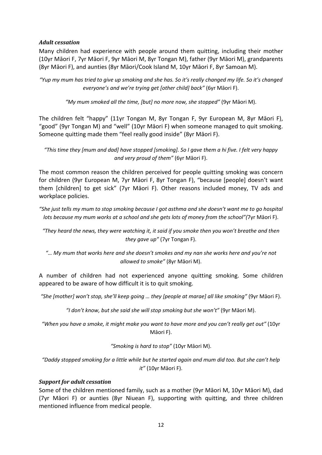#### <span id="page-11-0"></span>*Adult cessation*

Many children had experience with people around them quitting, including their mother (10yr Māori F, 7yr Māori F, 9yr Māori M, 8yr Tongan M), father (9yr Māori M), grandparents (8yr Māori F), and aunties (8yr Māori/Cook Island M, 10yr Māori F, 8yr Samoan M).

*"Yup my mum has tried to give up smoking and she has. So it's really changed my life. So it's changed everyone's and we're trying get [other child] back"* (6yr Māori F).

*"My mum smoked all the time, [but] no more now, she stopped"* (9yr Māori M).

The children felt "happy" (11yr Tongan M, 8yr Tongan F, 9yr European M, 8yr Māori F), "good" (9yr Tongan M) and "well" (10yr Māori F) when someone managed to quit smoking. Someone quitting made them "feel really good inside" (8yr Māori F).

*"This time they [mum and dad] have stopped [smoking]. So I gave them a hi five. I felt very happy and very proud of them"* (6yr Māori F).

The most common reason the children perceived for people quitting smoking was concern for children (9yr European M, 7yr Māori F, 8yr Tongan F), "because [people] doesn't want them [children] to get sick" (7yr Māori F). Other reasons included money, TV ads and workplace policies.

*"She just tells my mum to stop smoking because I got asthma and she doesn't want me to go hospital lots because my mum works at a school and she gets lots of money from the school"(*7yr Māori F).

*"They heard the news, they were watching it, it said if you smoke then you won't breathe and then they gave up"* (7yr Tongan F).

*"… My mum that works here and she doesn't smokes and my nan she works here and you're not allowed to smoke"* (8yr Māori M).

A number of children had not experienced anyone quitting smoking. Some children appeared to be aware of how difficult it is to quit smoking.

*"She [mother] won't stop, she'll keep going … they [people at marae] all like smoking"* (9yr Māori F).

*"I don't know, but she said she will stop smoking but she won't"* (9yr Māori M).

*"When you have a smoke, it might make you want to have more and you can't really get out"* (10yr Māori F).

*"Smoking is hard to stop"* (10yr Māori M).

*"Daddy stopped smoking for a little while but he started again and mum did too. But she can't help it"* (10yr Māori F).

#### <span id="page-11-1"></span>*Support for adult cessation*

Some of the children mentioned family, such as a mother (9yr Māori M, 10yr Māori M), dad (7yr Māori F) or aunties (8yr Niuean F), supporting with quitting, and three children mentioned influence from medical people.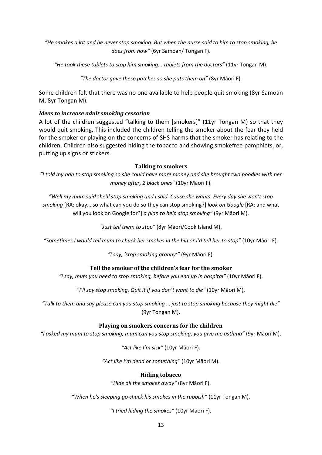*"He smokes a lot and he never stop smoking. But when the nurse said to him to stop smoking, he does from now"* (6yr Samoan/ Tongan F).

*"He took these tablets to stop him smoking... tablets from the doctors"* (11yr Tongan M).

*"The doctor gave these patches so she puts them on"* (8yr Māori F).

Some children felt that there was no one available to help people quit smoking (8yr Samoan M, 8yr Tongan M).

#### <span id="page-12-0"></span>*Ideas to increase adult smoking cessation*

A lot of the children suggested "talking to them [smokers]" (11yr Tongan M) so that they would quit smoking. This included the children telling the smoker about the fear they held for the smoker or playing on the concerns of SHS harms that the smoker has relating to the children. Children also suggested hiding the tobacco and showing smokefree pamphlets, or, putting up signs or stickers.

#### **Talking to smokers**

*"I told my nan to stop smoking so she could have more money and she brought two poodles with her money after, 2 black ones"* (10yr Māori F).

*"Well my mum said she'll stop smoking and I said. Cause she wants. Every day she won't stop smoking* [RA: okay….so what can you do so they can stop smoking?] *look on Google* [RA: and what will you look on Google for?] *a plan to help stop smoking"* (9yr Māori M).

*"Just tell them to stop"* (8yr Māori/Cook Island M).

*"Sometimes I would tell mum to chuck her smokes in the bin or I'd tell her to stop"* (10yr Māori F).

*"I say, 'stop smoking granny'"* (9yr Māori F).

#### **Tell the smoker of the children's fear for the smoker**

*"I say, mum you need to stop smoking, before you end up in hospital"* (10yr Māori F).

*"I'll say stop smoking. Quit it if you don't want to die"* (10yr Māori M).

*"Talk to them and say please can you stop smoking … just to stop smoking because they might die"* (9yr Tongan M).

#### **Playing on smokers concerns for the children**

*"I asked my mum to stop smoking, mum can you stop smoking, you give me asthma"* (9yr Māori M).

*"Act like I'm sick"* (10yr Māori F).

*"Act like I'm dead or something"* (10yr Māori M).

#### **Hiding tobacco**

*"Hide all the smokes away"* (8yr Māori F).

*"When he's sleeping go chuck his smokes in the rubbish"* (11yr Tongan M).

*"I tried hiding the smokes"* (10yr Māori F).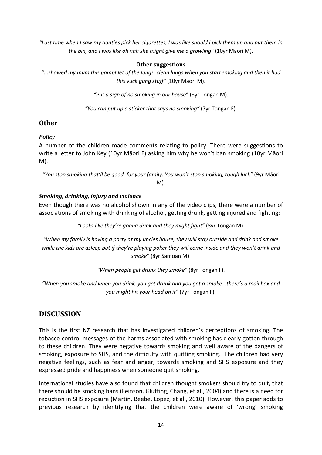*"Last time when I saw my aunties pick her cigarettes, I was like should I pick them up and put them in the bin, and I was like oh nah she might give me a growling"* (10yr Māori M).

#### **Other suggestions**

*"...showed my mum this pamphlet of the lungs, clean lungs when you start smoking and then it had this yuck gung stuff"* (10yr Māori M).

*"Put a sign of no smoking in our house"* (8yr Tongan M).

*"You can put up a sticker that says no smoking"* (7yr Tongan F).

#### <span id="page-13-0"></span>**Other**

#### <span id="page-13-1"></span>*Policy*

A number of the children made comments relating to policy. There were suggestions to write a letter to John Key (10yr Māori F) asking him why he won't ban smoking (10yr Māori M).

*"You stop smoking that'll be good, for your family. You won't stop smoking, tough luck"* (9yr Māori M).

#### <span id="page-13-2"></span>*Smoking, drinking, injury and violence*

Even though there was no alcohol shown in any of the video clips, there were a number of associations of smoking with drinking of alcohol, getting drunk, getting injured and fighting:

*"Looks like they're gonna drink and they might fight"* (8yr Tongan M).

*"When my family is having a party at my uncles house, they will stay outside and drink and smoke while the kids are asleep but if they're playing poker they will come inside and they won't drink and smoke"* (8yr Samoan M).

*"When people get drunk they smoke"* (8yr Tongan F).

*"When you smoke and when you drink, you get drunk and you get a smoke...there's a mail box and you might hit your head on it"* (7yr Tongan F).

## <span id="page-13-3"></span>**DISCUSSION**

This is the first NZ research that has investigated children's perceptions of smoking. The tobacco control messages of the harms associated with smoking has clearly gotten through to these children. They were negative towards smoking and well aware of the dangers of smoking, exposure to SHS, and the difficulty with quitting smoking. The children had very negative feelings, such as fear and anger, towards smoking and SHS exposure and they expressed pride and happiness when someone quit smoking.

International studies have also found that children thought smokers should try to quit, that there should be smoking bans [\(Feinson, Glutting, Chang, et al., 2004\)](#page-15-7) and there is a need for reduction in SHS exposure [\(Martin, Beebe, Lopez, et al., 2010\)](#page-16-9). However, this paper adds to previous research by identifying that the children were aware of 'wrong' smoking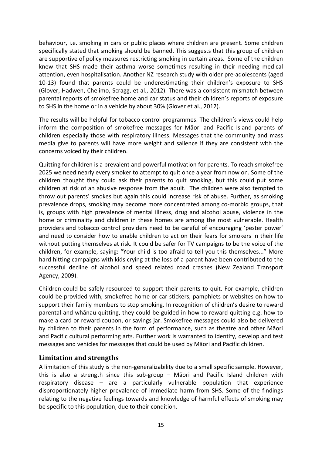behaviour, i.e. smoking in cars or public places where children are present. Some children specifically stated that smoking should be banned. This suggests that this group of children are supportive of policy measures restricting smoking in certain areas. Some of the children knew that SHS made their asthma worse sometimes resulting in their needing medical attention, even hospitalisation. Another NZ research study with older pre-adolescents (aged 10-13) found that parents could be underestimating their children's exposure to SHS [\(Glover, Hadwen, Chelimo, Scragg, et al., 2012\)](#page-16-18). There was a consistent mismatch between parental reports of smokefree home and car status and their children's reports of exposure to SHS in the home or in a vehicle by about 30% (Glover et al., 2012).

The results will be helpful for tobacco control programmes. The children's views could help inform the composition of smokefree messages for Māori and Pacific Island parents of children especially those with respiratory illness. Messages that the community and mass media give to parents will have more weight and salience if they are consistent with the concerns voiced by their children.

Quitting for children is a prevalent and powerful motivation for parents. To reach smokefree 2025 we need nearly every smoker to attempt to quit once a year from now on. Some of the children thought they could ask their parents to quit smoking, but this could put some children at risk of an abusive response from the adult. The children were also tempted to throw out parents' smokes but again this could increase risk of abuse. Further, as smoking prevalence drops, smoking may become more concentrated among co-morbid groups, that is, groups with high prevalence of mental illness, drug and alcohol abuse, violence in the home or criminality and children in these homes are among the most vulnerable. Health providers and tobacco control providers need to be careful of encouraging 'pester power' and need to consider how to enable children to act on their fears for smokers in their life without putting themselves at risk. It could be safer for TV campaigns to be the voice of the children, for example, saying: "Your child is too afraid to tell you this themselves..." More hard hitting campaigns with kids crying at the loss of a parent have been contributed to the successful decline of alcohol and speed related road crashes [\(New Zealand Transport](#page-16-19)  [Agency, 2009\)](#page-16-19).

Children could be safely resourced to support their parents to quit. For example, children could be provided with, smokefree home or car stickers, pamphlets or websites on how to support their family members to stop smoking. In recognition of children's desire to reward parental and whānau quitting, they could be guided in how to reward quitting e.g. how to make a card or reward coupon, or savings jar. Smokefree messages could also be delivered by children to their parents in the form of performance, such as theatre and other Māori and Pacific cultural performing arts. Further work is warranted to identify, develop and test messages and vehicles for messages that could be used by Māori and Pacific children.

## <span id="page-14-0"></span>**Limitation and strengths**

A limitation of this study is the non-generalizability due to a small specific sample. However, this is also a strength since this sub-group – Māori and Pacific Island children with respiratory disease – are a particularly vulnerable population that experience disproportionately higher prevalence of immediate harm from SHS. Some of the findings relating to the negative feelings towards and knowledge of harmful effects of smoking may be specific to this population, due to their condition.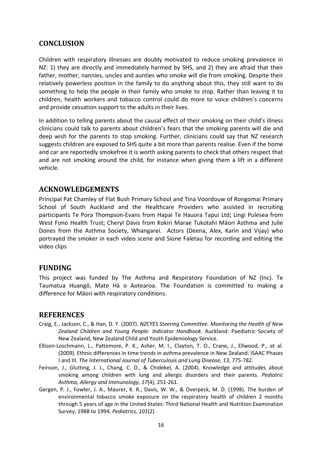## <span id="page-15-0"></span>**CONCLUSION**

Children with respiratory illnesses are doubly motivated to reduce smoking prevalence in NZ: 1) they are directly and immediately harmed by SHS, and 2) they are afraid that their father, mother, nannies, uncles and aunties who smoke will die from smoking. Despite their relatively powerless position in the family to do anything about this, they still want to do something to help the people in their family who smoke to stop. Rather than leaving it to children, health workers and tobacco control could do more to voice children's concerns and provide cessation support to the adults in their lives.

In addition to telling parents about the causal effect of their smoking on their child's illness clinicians could talk to parents about children's fears that the smoking parents will die and deep wish for the parents to stop smoking. Further, clinicians could say that NZ research suggests children are exposed to SHS quite a bit more than parents realise. Even if the home and car are reportedly smokefree it is worth asking parents to check that others respect that and are not smoking around the child, for instance when giving them a lift in a different vehicle.

## <span id="page-15-1"></span>**ACKNOWLEDGEMENTS**

Principal Pat Chamley of Flat Bush Primary School and Tina Voordouw of Rongomai Primary School of South Auckland and the Healthcare Providers who assisted in recruiting participants Te Pora Thompson-Evans from Hapai Te Hauora Tapui Ltd; Lingi Pulesea from West Fono Health Trust; Cheryl Davis from Kokiri Marae Tukotahi Māori Asthma and Julie Dones from the Asthma Society, Whangarei. Actors (Deena, Alex, Karin and Vijay) who portrayed the smoker in each video scene and Sione Faletau for recording and editing the video clips

## <span id="page-15-2"></span>**FUNDING**

This project was funded by The Asthma and Respiratory Foundation of NZ (Inc). Te Taumatua Huangō, Mate Hā o Aotearoa. The Foundation is committed to making a difference for Māori with respiratory conditions.

## <span id="page-15-3"></span>**REFERENCES**

- <span id="page-15-5"></span>Craig, E., Jackson, C., & Han, D. Y. (2007). *NZCYES Steering Committee. Monitoring the Health of New Zealand Children and Young People: Indicator Handbook*. Auckland: Paediatric Society of New Zealand, New Zealand Child and Youth Epidemiology Service.
- <span id="page-15-6"></span>Ellison-Loschmann, L., Pattemore, P. K., Asher, M. I., Clayton, T. O., Crane, J., Ellwood, P., et al. (2009). Ethnic differences in time trends in asthma prevalence in New Zealand: ISAAC Phases I and III. *The International Journal of Tuberculosis and Lung Disease, 13*, 775-782.
- <span id="page-15-7"></span>Feinson, J., Glutting, J. J., Chang, C. D., & Chidekel, A. (2004). Knowledge and attitudes about smoking among children with lung and allergic disorders and their parents. *Pediatric Asthma, Allergy and Immunology, 17*(4), 251-261.
- <span id="page-15-4"></span>Gergen, P. J., Fowler, J. A., Maurer, K. R., Davis, W. W., & Overpeck, M. D. (1998). The burden of environmental tobacco smoke exposure on the respiratory health of children 2 months through 5 years of age in the United States: Third National Health and Nutrition Examination Survey, 1988 to 1994. *Pediatrics, 101*(2).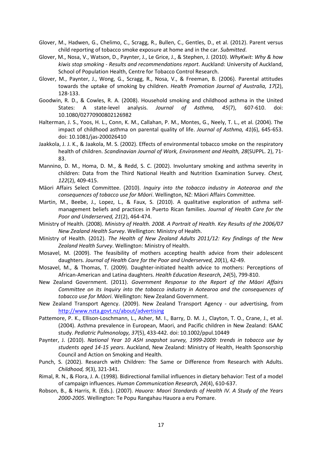- <span id="page-16-18"></span>Glover, M., Hadwen, G., Chelimo, C., Scragg, R., Bullen, C., Gentles, D., et al. (2012). Parent versus child reporting of tobacco smoke exposure at home and in the car. *Submitted*.
- <span id="page-16-13"></span>Glover, M., Nosa, V., Watson, D., Paynter, J., Le Grice, J., & Stephen, J. (2010). *WhyKwit: Why & how kiwis stop smoking - Results and recommendations report*. Auckland: University of Auckland, School of Population Health, Centre for Tobacco Control Research.
- <span id="page-16-14"></span>Glover, M., Paynter, J., Wong, G., Scragg, R., Nosa, V., & Freeman, B. (2006). Parental attitudes towards the uptake of smoking by children. *Health Promotion Journal of Australia, 17*(2), 128-133.
- <span id="page-16-1"></span>Goodwin, R. D., & Cowles, R. A. (2008). Household smoking and childhood asthma in the United States: A state-level analysis. *Journal of Asthma, 45*(7), 607-610. doi: 10.1080/02770900802126982
- <span id="page-16-8"></span>Halterman, J. S., Yoos, H. L., Conn, K. M., Callahan, P. M., Montes, G., Neely, T. L., et al. (2004). The impact of childhood asthma on parental quality of life. *Journal of Asthma, 41*(6), 645-653. doi: 10.1081/jas-200026410
- <span id="page-16-0"></span>Jaakkola, J. J. K., & Jaakola, M. S. (2002). Effects of environmental tobacco smoke on the respiratory health of children. *Scandinavian Journal of Work, Environment and Health, 28*(SUPPL. 2), 71- 83.
- <span id="page-16-2"></span>Mannino, D. M., Homa, D. M., & Redd, S. C. (2002). Involuntary smoking and asthma severity in children: Data from the Third National Health and Nutrition Examination Survey. *Chest, 122*(2), 409-415.
- <span id="page-16-16"></span>Māori Affairs Select Committee. (2010). *Inquiry into the tobacco industry in Aotearoa and the consequences of tobacco use for Māori*. Wellington, NZ: Māori Affairs Committee.
- <span id="page-16-9"></span>Martin, M., Beebe, J., Lopez, L., & Faux, S. (2010). A qualitative exploration of asthma selfmanagement beliefs and practices in Puerto Rican families. *Journal of Health Care for the Poor and Underserved, 21*(2), 464-474.
- <span id="page-16-3"></span>Ministry of Health. (2008). *Ministry of Health. 2008. A Portrait of Health. Key Results of the 2006/07 New Zealand Health Survey*. Wellington: Ministry of Health.
- <span id="page-16-6"></span>Ministry of Health. (2012). *The Health of New Zealand Adults 2011/12: Key findings of the New Zealand Health Survey*. Wellington: Ministry of Health.
- <span id="page-16-10"></span>Mosavel, M. (2009). The feasibility of mothers accepting health advice from their adolescent daughters. *Journal of Health Care for the Poor and Underserved, 20*(1), 42-49.
- <span id="page-16-11"></span>Mosavel, M., & Thomas, T. (2009). Daughter-initiated health advice to mothers: Perceptions of African-American and Latina daughters. *Health Education Research, 24*(5), 799-810.
- <span id="page-16-15"></span>New Zealand Government. (2011). *Government Response to the Report of the Māori Affairs Committee on its Inquiry into the tobacco industry in Aotearoa and the consequences of tobacco use for Māori*. Wellington: New Zealand Government.
- <span id="page-16-19"></span>New Zealand Transport Agency. (2009). New Zealand Transport Agency - our advertising, from <http://www.nzta.govt.nz/about/advertising>
- <span id="page-16-4"></span>Pattemore, P. K., Ellison-Loschmann, L., Asher, M. I., Barry, D. M. J., Clayton, T. O., Crane, J., et al. (2004). Asthma prevalence in European, Maori, and Pacific children in New Zealand: ISAAC study. *Pediatric Pulmonology, 37*(5), 433-442. doi: 10.1002/ppul.10449
- <span id="page-16-7"></span>Paynter, J. (2010). *National Year 10 ASH snapshot survey, 1999-2009: trends in tobacco use by students aged 14-15 years*. Auckland, New Zealand: Ministry of Health, Health Sponsorship Council and Action on Smoking and Health.
- <span id="page-16-17"></span>Punch, S. (2002). Research with Children: The Same or Difference from Research with Adults. *Childhood, 9*(3), 321-341.
- <span id="page-16-12"></span>Rimal, R. N., & Flora, J. A. (1998). Bidirectional familial influences in dietary behavior: Test of a model of campaign influences. *Human Communication Research, 24*(4), 610-637.
- <span id="page-16-5"></span>Robson, B., & Harris, R. (Eds.). (2007). *Hauora: Maori Standards of Health IV. A Study of the Years 2000-2005*. Wellington: Te Popu Rangahau Hauora a eru Pomare.